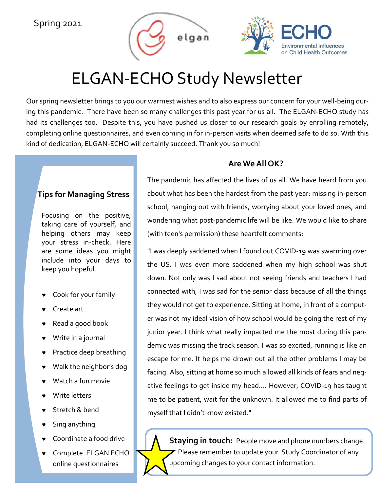## Spring 2021





## ELGAN‐ECHO Study Newsletter

Our spring newsletter brings to you our warmest wishes and to also express our concern for your well‐being dur‐ ing this pandemic. There have been so many challenges this past year for us all. The ELGAN‐ECHO study has had its challenges too. Despite this, you have pushed us closer to our research goals by enrolling remotely, completing online questionnaires, and even coming in for in‐person visits when deemed safe to do so. With this kind of dedication, ELGAN‐ECHO will certainly succeed. Thank you so much!

## **Tips for Managing Stress**

Focusing on the positive, taking care of yourself, and helping others may keep your stress in‐check. Here are some ideas you might include into your days to keep you hopeful.

- Cook for your family
- Create art
- Read a good book
- Write in a journal
- Practice deep breathing
- Walk the neighbor's dog
- Watch a fun movie
- Write letters
- Stretch & bend
- Sing anything
- Coordinate a food drive
- Complete ELGAN ECHO online questionnaires

## **Are We All OK?**

The pandemic has affected the lives of us all. We have heard from you about what has been the hardest from the past year: missing in‐person school, hanging out with friends, worrying about your loved ones, and wondering what post‐pandemic life will be like. We would like to share (with teen's permission) these heartfelt comments:

"I was deeply saddened when I found out COVID‐19 was swarming over the US. I was even more saddened when my high school was shut down. Not only was I sad about not seeing friends and teachers I had connected with, I was sad for the senior class because of all the things they would not get to experience. Sitting at home, in front of a comput‐ er was not my ideal vision of how school would be going the rest of my junior year. I think what really impacted me the most during this pan‐ demic was missing the track season. I was so excited, running is like an escape for me. It helps me drown out all the other problems I may be facing. Also, sitting at home so much allowed all kinds of fears and neg‐ ative feelings to get inside my head.... However, COVID‐19 has taught me to be patient, wait for the unknown. It allowed me to find parts of myself that I didn't know existed."

**Staying in touch:** People move and phone numbers change. Please remember to update your Study Coordinator of any upcoming changes to your contact information.